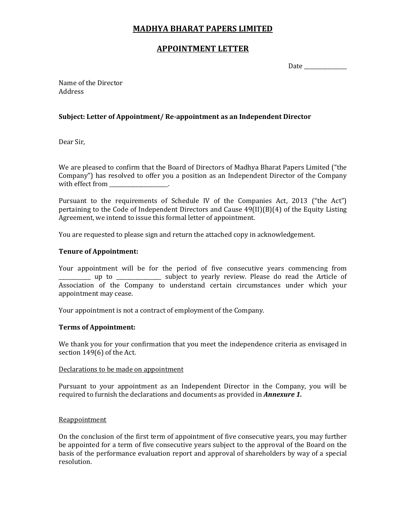# MADHYA BHARAT PAPERS LIMITED

# APPOINTMENT LETTER

Date

Name of the Director Address

# Subject: Letter of Appointment/ Re-appointment as an Independent Director

Dear Sir,

We are pleased to confirm that the Board of Directors of Madhya Bharat Papers Limited ("the Company") has resolved to offer you a position as an Independent Director of the Company with effect from

Pursuant to the requirements of Schedule IV of the Companies Act, 2013 ("the Act") pertaining to the Code of Independent Directors and Cause 49(II)(B)(4) of the Equity Listing Agreement, we intend to issue this formal letter of appointment.

You are requested to please sign and return the attached copy in acknowledgement.

# Tenure of Appointment:

Your appointment will be for the period of five consecutive years commencing from \_\_\_\_\_\_\_\_\_\_\_\_ up to \_\_\_\_\_\_\_\_\_\_\_\_\_\_\_\_\_ subject to yearly review. Please do read the Article of Association of the Company to understand certain circumstances under which your appointment may cease.

Your appointment is not a contract of employment of the Company.

# Terms of Appointment:

We thank you for your confirmation that you meet the independence criteria as envisaged in section 149(6) of the Act.

# Declarations to be made on appointment

Pursuant to your appointment as an Independent Director in the Company, you will be required to furnish the declarations and documents as provided in **Annexure 1.** 

# Reappointment

On the conclusion of the first term of appointment of five consecutive years, you may further be appointed for a term of five consecutive years subject to the approval of the Board on the basis of the performance evaluation report and approval of shareholders by way of a special resolution.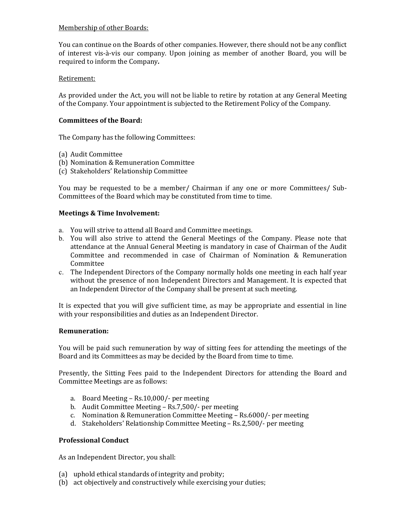### Membership of other Boards:

You can continue on the Boards of other companies. However, there should not be any conflict of interest vis-à-vis our company. Upon joining as member of another Board, you will be required to inform the Company.

### Retirement:

As provided under the Act, you will not be liable to retire by rotation at any General Meeting of the Company. Your appointment is subjected to the Retirement Policy of the Company.

### Committees of the Board:

The Company has the following Committees:

- (a) Audit Committee
- (b) Nomination & Remuneration Committee
- (c) Stakeholders' Relationship Committee

You may be requested to be a member/ Chairman if any one or more Committees/ Sub-Committees of the Board which may be constituted from time to time.

### Meetings & Time Involvement:

- a. You will strive to attend all Board and Committee meetings.
- b. You will also strive to attend the General Meetings of the Company. Please note that attendance at the Annual General Meeting is mandatory in case of Chairman of the Audit Committee and recommended in case of Chairman of Nomination & Remuneration Committee
- c. The Independent Directors of the Company normally holds one meeting in each half year without the presence of non Independent Directors and Management. It is expected that an Independent Director of the Company shall be present at such meeting.

It is expected that you will give sufficient time, as may be appropriate and essential in line with your responsibilities and duties as an Independent Director.

#### Remuneration:

You will be paid such remuneration by way of sitting fees for attending the meetings of the Board and its Committees as may be decided by the Board from time to time.

Presently, the Sitting Fees paid to the Independent Directors for attending the Board and Committee Meetings are as follows:

- a. Board Meeting Rs.10,000/- per meeting
- b. Audit Committee Meeting Rs.7,500/- per meeting
- c. Nomination & Remuneration Committee Meeting Rs.6000/- per meeting
- d. Stakeholders' Relationship Committee Meeting Rs.2,500/- per meeting

#### Professional Conduct

As an Independent Director, you shall:

- (a) uphold ethical standards of integrity and probity;
- (b) act objectively and constructively while exercising your duties;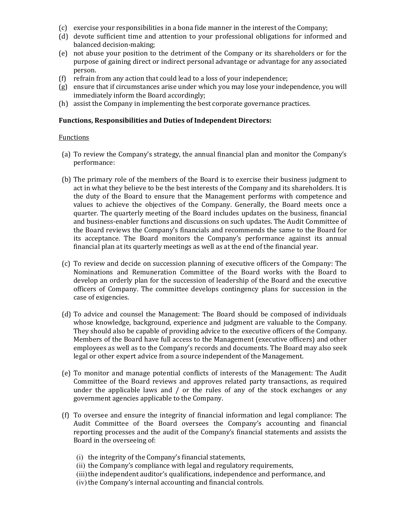- (c) exercise your responsibilities in a bona fide manner in the interest of the Company;
- (d) devote sufficient time and attention to your professional obligations for informed and balanced decision-making;
- (e) not abuse your position to the detriment of the Company or its shareholders or for the purpose of gaining direct or indirect personal advantage or advantage for any associated person.
- (f) refrain from any action that could lead to a loss of your independence;
- (g) ensure that if circumstances arise under which you may lose your independence, you will immediately inform the Board accordingly;
- (h) assist the Company in implementing the best corporate governance practices.

### Functions, Responsibilities and Duties of Independent Directors:

#### Functions

- (a) To review the Company's strategy, the annual financial plan and monitor the Company's performance:
- (b) The primary role of the members of the Board is to exercise their business judgment to act in what they believe to be the best interests of the Company and its shareholders. It is the duty of the Board to ensure that the Management performs with competence and values to achieve the objectives of the Company. Generally, the Board meets once a quarter. The quarterly meeting of the Board includes updates on the business, financial and business-enabler functions and discussions on such updates. The Audit Committee of the Board reviews the Company's financials and recommends the same to the Board for its acceptance. The Board monitors the Company's performance against its annual financial plan at its quarterly meetings as well as at the end of the financial year.
- (c) To review and decide on succession planning of executive officers of the Company: The Nominations and Remuneration Committee of the Board works with the Board to develop an orderly plan for the succession of leadership of the Board and the executive officers of Company. The committee develops contingency plans for succession in the case of exigencies.
- (d) To advice and counsel the Management: The Board should be composed of individuals whose knowledge, background, experience and judgment are valuable to the Company. They should also be capable of providing advice to the executive officers of the Company. Members of the Board have full access to the Management (executive officers) and other employees as well as to the Company's records and documents. The Board may also seek legal or other expert advice from a source independent of the Management.
- (e) To monitor and manage potential conflicts of interests of the Management: The Audit Committee of the Board reviews and approves related party transactions, as required under the applicable laws and / or the rules of any of the stock exchanges or any government agencies applicable to the Company.
- (f) To oversee and ensure the integrity of financial information and legal compliance: The Audit Committee of the Board oversees the Company's accounting and financial reporting processes and the audit of the Company's financial statements and assists the Board in the overseeing of:
	- (i) the integrity of the Company's financial statements,
	- (ii) the Company's compliance with legal and regulatory requirements,
	- (iii) the independent auditor's qualifications, independence and performance, and
	- (iv) the Company's internal accounting and financial controls.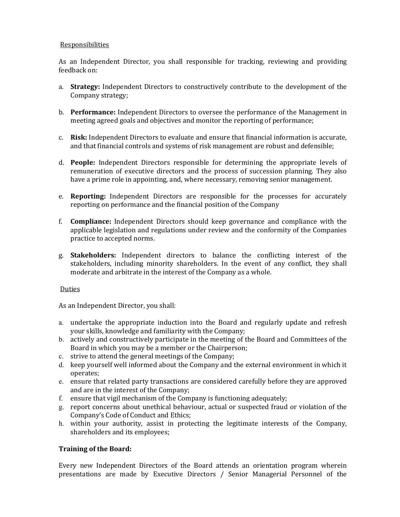### Responsibilities

As an Independent Director, you shall responsible for tracking, reviewing and providing feedback on:

- a. Strategy: Independent Directors to constructively contribute to the development of the Company strategy;
- b. Performance: Independent Directors to oversee the performance of the Management in meeting agreed goals and objectives and monitor the reporting of performance;
- c. Risk: Independent Directors to evaluate and ensure that financial information is accurate, and that financial controls and systems of risk management are robust and defensible;
- d. People: Independent Directors responsible for determining the appropriate levels of remuneration of executive directors and the process of succession planning. They also have a prime role in appointing, and, where necessary, removing senior management.
- e. Reporting: Independent Directors are responsible for the processes for accurately reporting on performance and the financial position of the Company
- f. Compliance: Independent Directors should keep governance and compliance with the applicable legislation and regulations under review and the conformity of the Companies practice to accepted norms.
- g. Stakeholders: Independent directors to balance the conflicting interest of the stakeholders, including minority shareholders. In the event of any conflict, they shall moderate and arbitrate in the interest of the Company as a whole.

#### Duties

As an Independent Director, you shall:

- a. undertake the appropriate induction into the Board and regularly update and refresh your skills, knowledge and familiarity with the Company;
- b. actively and constructively participate in the meeting of the Board and Committees of the Board in which you may be a member or the Chairperson;
- c. strive to attend the general meetings of the Company;
- d. keep yourself well informed about the Company and the external environment in which it operates;
- e. ensure that related party transactions are considered carefully before they are approved and are in the interest of the Company;
- f. ensure that vigil mechanism of the Company is functioning adequately;
- g. report concerns about unethical behaviour, actual or suspected fraud or violation of the Company's Code of Conduct and Ethics;
- h. within your authority, assist in protecting the legitimate interests of the Company, shareholders and its employees;

# Training of the Board:

Every new Independent Directors of the Board attends an orientation program wherein presentations are made by Executive Directors / Senior Managerial Personnel of the